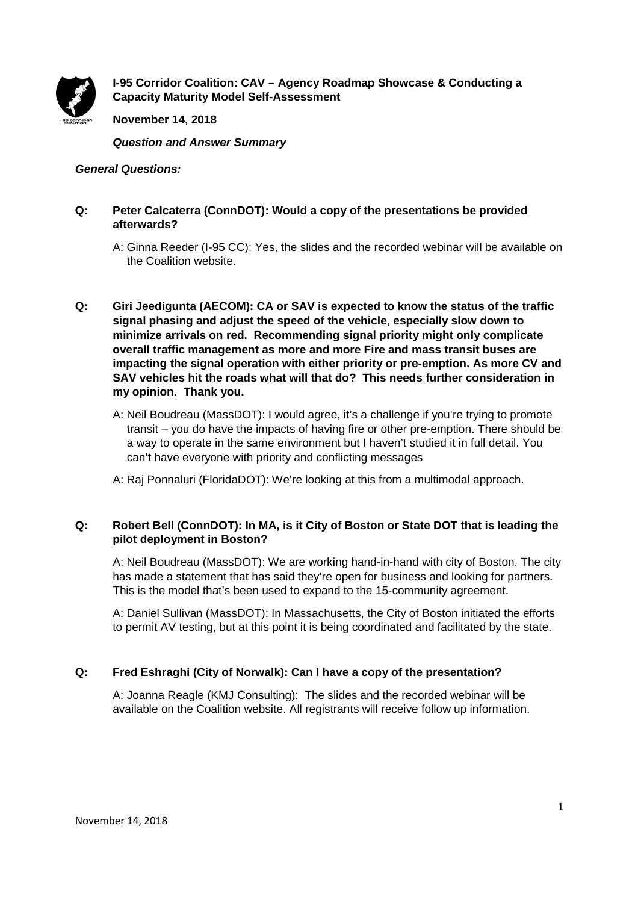

**I-95 Corridor Coalition: CAV – Agency Roadmap Showcase & Conducting a Capacity Maturity Model Self-Assessment**

**November 14, 2018**

*Question and Answer Summary*

*General Questions:*

## **Q: Peter Calcaterra (ConnDOT): Would a copy of the presentations be provided afterwards?**

- A: Ginna Reeder (I-95 CC): Yes, the slides and the recorded webinar will be available on the Coalition website.
- **Q: Giri Jeedigunta (AECOM): CA or SAV is expected to know the status of the traffic signal phasing and adjust the speed of the vehicle, especially slow down to minimize arrivals on red. Recommending signal priority might only complicate overall traffic management as more and more Fire and mass transit buses are impacting the signal operation with either priority or pre-emption. As more CV and SAV vehicles hit the roads what will that do? This needs further consideration in my opinion. Thank you.**
	- A: Neil Boudreau (MassDOT): I would agree, it's a challenge if you're trying to promote transit – you do have the impacts of having fire or other pre-emption. There should be a way to operate in the same environment but I haven't studied it in full detail. You can't have everyone with priority and conflicting messages
	- A: Raj Ponnaluri (FloridaDOT): We're looking at this from a multimodal approach.

## **Q: Robert Bell (ConnDOT): In MA, is it City of Boston or State DOT that is leading the pilot deployment in Boston?**

A: Neil Boudreau (MassDOT): We are working hand-in-hand with city of Boston. The city has made a statement that has said they're open for business and looking for partners. This is the model that's been used to expand to the 15-community agreement.

A: Daniel Sullivan (MassDOT): In Massachusetts, the City of Boston initiated the efforts to permit AV testing, but at this point it is being coordinated and facilitated by the state.

# **Q: Fred Eshraghi (City of Norwalk): Can I have a copy of the presentation?**

A: Joanna Reagle (KMJ Consulting): The slides and the recorded webinar will be available on the Coalition website. All registrants will receive follow up information.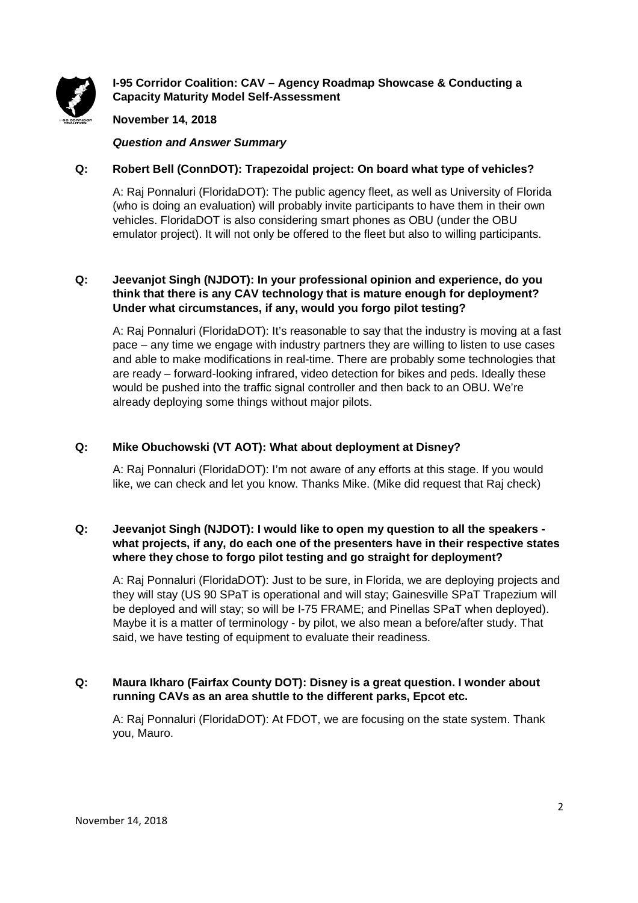

# **I-95 Corridor Coalition: CAV – Agency Roadmap Showcase & Conducting a Capacity Maturity Model Self-Assessment**

## **November 14, 2018**

*Question and Answer Summary*

## **Q: Robert Bell (ConnDOT): Trapezoidal project: On board what type of vehicles?**

A: Raj Ponnaluri (FloridaDOT): The public agency fleet, as well as University of Florida (who is doing an evaluation) will probably invite participants to have them in their own vehicles. FloridaDOT is also considering smart phones as OBU (under the OBU emulator project). It will not only be offered to the fleet but also to willing participants.

## **Q: Jeevanjot Singh (NJDOT): In your professional opinion and experience, do you think that there is any CAV technology that is mature enough for deployment? Under what circumstances, if any, would you forgo pilot testing?**

A: Raj Ponnaluri (FloridaDOT): It's reasonable to say that the industry is moving at a fast pace – any time we engage with industry partners they are willing to listen to use cases and able to make modifications in real-time. There are probably some technologies that are ready – forward-looking infrared, video detection for bikes and peds. Ideally these would be pushed into the traffic signal controller and then back to an OBU. We're already deploying some things without major pilots.

## **Q: Mike Obuchowski (VT AOT): What about deployment at Disney?**

A: Raj Ponnaluri (FloridaDOT): I'm not aware of any efforts at this stage. If you would like, we can check and let you know. Thanks Mike. (Mike did request that Raj check)

## **Q: Jeevanjot Singh (NJDOT): I would like to open my question to all the speakers what projects, if any, do each one of the presenters have in their respective states where they chose to forgo pilot testing and go straight for deployment?**

A: Raj Ponnaluri (FloridaDOT): Just to be sure, in Florida, we are deploying projects and they will stay (US 90 SPaT is operational and will stay; Gainesville SPaT Trapezium will be deployed and will stay; so will be I-75 FRAME; and Pinellas SPaT when deployed). Maybe it is a matter of terminology - by pilot, we also mean a before/after study. That said, we have testing of equipment to evaluate their readiness.

## **Q: Maura Ikharo (Fairfax County DOT): Disney is a great question. I wonder about running CAVs as an area shuttle to the different parks, Epcot etc.**

A: Raj Ponnaluri (FloridaDOT): At FDOT, we are focusing on the state system. Thank you, Mauro.